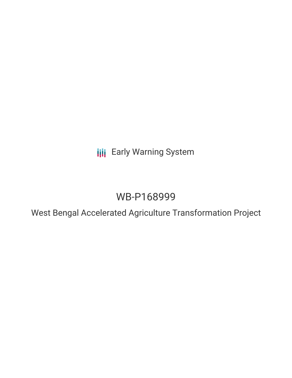**III** Early Warning System

# WB-P168999

West Bengal Accelerated Agriculture Transformation Project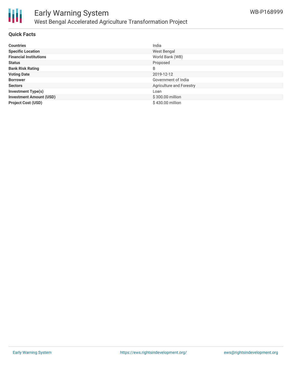

# **Quick Facts**

| <b>Countries</b>               | India                    |
|--------------------------------|--------------------------|
| <b>Specific Location</b>       | West Bengal              |
| <b>Financial Institutions</b>  | World Bank (WB)          |
| <b>Status</b>                  | Proposed                 |
| <b>Bank Risk Rating</b>        | B                        |
| <b>Voting Date</b>             | 2019-12-12               |
| <b>Borrower</b>                | Government of India      |
| <b>Sectors</b>                 | Agriculture and Forestry |
| <b>Investment Type(s)</b>      | Loan                     |
| <b>Investment Amount (USD)</b> | \$300.00 million         |
| <b>Project Cost (USD)</b>      | \$430.00 million         |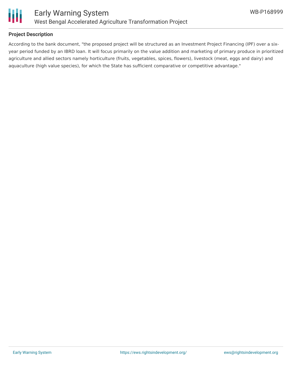

## **Project Description**

According to the bank document, "the proposed project will be structured as an Investment Project Financing (IPF) over a sixyear period funded by an IBRD loan. It will focus primarily on the value addition and marketing of primary produce in prioritized agriculture and allied sectors namely horticulture (fruits, vegetables, spices, flowers), livestock (meat, eggs and dairy) and aquaculture (high value species), for which the State has sufficient comparative or competitive advantage."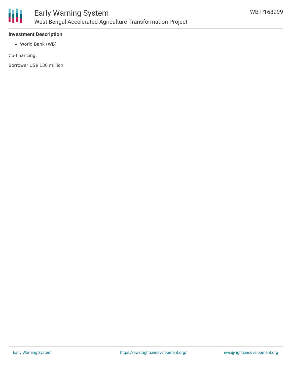

# **Investment Description**

World Bank (WB)

Co-financing:

Borrower US\$ 130 million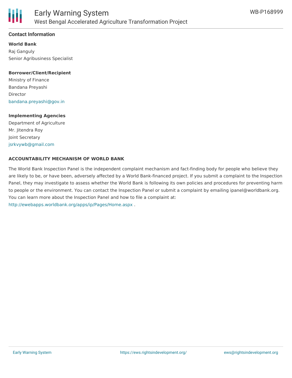

### **Contact Information**

**World Bank** Raj Ganguly Senior Agribusiness Specialist

#### **Borrower/Client/Recipient**

Ministry of Finance Bandana Preyashi Director [bandana.preyashi@gov.in](mailto:bandana.preyashi@gov.in)

#### **Implementing Agencies**

Department of Agriculture Mr. Jitendra Roy Joint Secretary [jsrkvywb@gmail.com](mailto:jsrkvywb@gmail.com)

#### **ACCOUNTABILITY MECHANISM OF WORLD BANK**

The World Bank Inspection Panel is the independent complaint mechanism and fact-finding body for people who believe they are likely to be, or have been, adversely affected by a World Bank-financed project. If you submit a complaint to the Inspection Panel, they may investigate to assess whether the World Bank is following its own policies and procedures for preventing harm to people or the environment. You can contact the Inspection Panel or submit a complaint by emailing ipanel@worldbank.org. You can learn more about the Inspection Panel and how to file a complaint at: <http://ewebapps.worldbank.org/apps/ip/Pages/Home.aspx> .